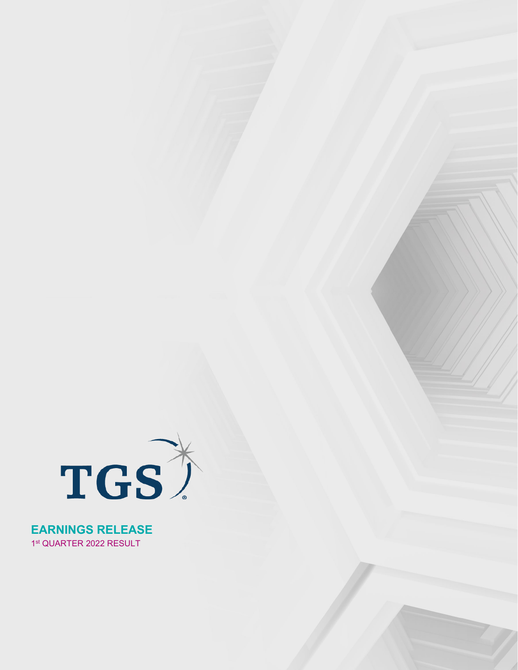

**EARNINGS RELEASE** 1st QUARTER 2022 RESULT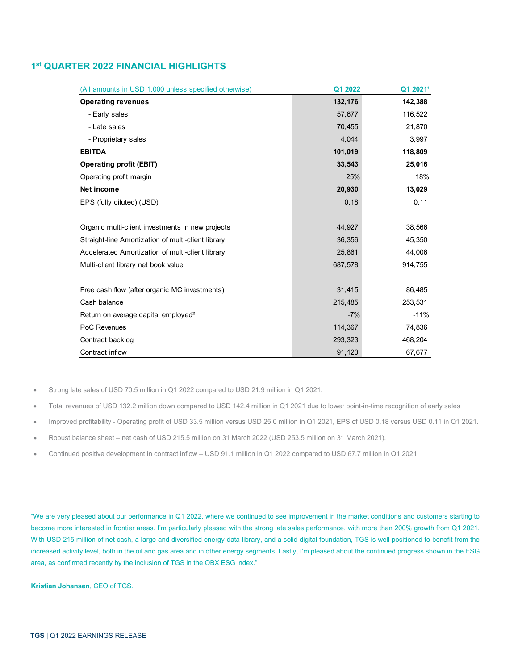# **1st QUARTER 2022 FINANCIAL HIGHLIGHTS**

| (All amounts in USD 1,000 unless specified otherwise) | Q1 2022 | Q1 2021 <sup>1</sup> |
|-------------------------------------------------------|---------|----------------------|
| <b>Operating revenues</b>                             | 132,176 | 142,388              |
| - Early sales                                         | 57,677  | 116,522              |
| - Late sales                                          | 70,455  | 21,870               |
| - Proprietary sales                                   | 4,044   | 3,997                |
| <b>EBITDA</b>                                         | 101,019 | 118,809              |
| <b>Operating profit (EBIT)</b>                        | 33,543  | 25,016               |
| Operating profit margin                               | 25%     | 18%                  |
| Net income                                            | 20,930  | 13,029               |
| EPS (fully diluted) (USD)                             | 0.18    | 0.11                 |
|                                                       |         |                      |
| Organic multi-client investments in new projects      | 44,927  | 38,566               |
| Straight-line Amortization of multi-client library    | 36,356  | 45,350               |
| Accelerated Amortization of multi-client library      | 25,861  | 44,006               |
| Multi-client library net book value                   | 687,578 | 914,755              |
|                                                       |         |                      |
| Free cash flow (after organic MC investments)         | 31,415  | 86,485               |
| Cash balance                                          | 215,485 | 253,531              |
| Return on average capital employed <sup>2</sup>       | $-7%$   | $-11%$               |
| PoC Revenues                                          | 114,367 | 74,836               |
| Contract backlog                                      | 293,323 | 468,204              |
| Contract inflow                                       | 91,120  | 67,677               |

• Strong late sales of USD 70.5 million in Q1 2022 compared to USD 21.9 million in Q1 2021.

- Total revenues of USD 132.2 million down compared to USD 142.4 million in Q1 2021 due to lower point-in-time recognition of early sales
- Improved profitability Operating profit of USD 33.5 million versus USD 25.0 million in Q1 2021, EPS of USD 0.18 versus USD 0.11 in Q1 2021.
- Robust balance sheet net cash of USD 215.5 million on 31 March 2022 (USD 253.5 million on 31 March 2021).
- Continued positive development in contract inflow USD 91.1 million in Q1 2022 compared to USD 67.7 million in Q1 2021

"We are very pleased about our performance in Q1 2022, where we continued to see improvement in the market conditions and customers starting to become more interested in frontier areas. I'm particularly pleased with the strong late sales performance, with more than 200% growth from Q1 2021. With USD 215 million of net cash, a large and diversified energy data library, and a solid digital foundation, TGS is well positioned to benefit from the increased activity level, both in the oil and gas area and in other energy segments. Lastly, I'm pleased about the continued progress shown in the ESG area, as confirmed recently by the inclusion of TGS in the OBX ESG index."

**Kristian Johansen**, CEO of TGS.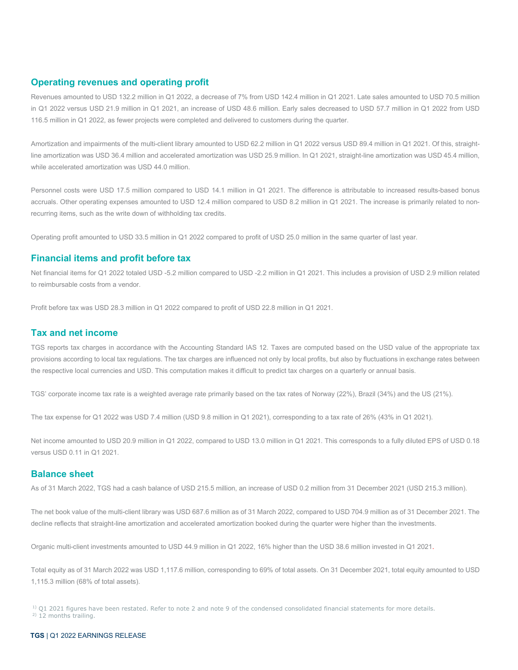## **Operating revenues and operating profit**

Revenues amounted to USD 132.2 million in Q1 2022, a decrease of 7% from USD 142.4 million in Q1 2021. Late sales amounted to USD 70.5 million in Q1 2022 versus USD 21.9 million in Q1 2021, an increase of USD 48.6 million. Early sales decreased to USD 57.7 million in Q1 2022 from USD 116.5 million in Q1 2022, as fewer projects were completed and delivered to customers during the quarter.

Amortization and impairments of the multi-client library amounted to USD 62.2 million in Q1 2022 versus USD 89.4 million in Q1 2021. Of this, straightline amortization was USD 36.4 million and accelerated amortization was USD 25.9 million. In Q1 2021, straight-line amortization was USD 45.4 million, while accelerated amortization was USD 44.0 million.

Personnel costs were USD 17.5 million compared to USD 14.1 million in Q1 2021. The difference is attributable to increased results-based bonus accruals. Other operating expenses amounted to USD 12.4 million compared to USD 8.2 million in Q1 2021. The increase is primarily related to nonrecurring items, such as the write down of withholding tax credits.

Operating profit amounted to USD 33.5 million in Q1 2022 compared to profit of USD 25.0 million in the same quarter of last year.

# **Financial items and profit before tax**

Net financial items for Q1 2022 totaled USD -5.2 million compared to USD -2.2 million in Q1 2021. This includes a provision of USD 2.9 million related to reimbursable costs from a vendor.

Profit before tax was USD 28.3 million in Q1 2022 compared to profit of USD 22.8 million in Q1 2021.

## **Tax and net income**

TGS reports tax charges in accordance with the Accounting Standard IAS 12. Taxes are computed based on the USD value of the appropriate tax provisions according to local tax regulations. The tax charges are influenced not only by local profits, but also by fluctuations in exchange rates between the respective local currencies and USD. This computation makes it difficult to predict tax charges on a quarterly or annual basis.

TGS' corporate income tax rate is a weighted average rate primarily based on the tax rates of Norway (22%), Brazil (34%) and the US (21%).

The tax expense for Q1 2022 was USD 7.4 million (USD 9.8 million in Q1 2021), corresponding to a tax rate of 26% (43% in Q1 2021).

Net income amounted to USD 20.9 million in Q1 2022, compared to USD 13.0 million in Q1 2021. This corresponds to a fully diluted EPS of USD 0.18 versus USD 0.11 in Q1 2021.

## **Balance sheet**

As of 31 March 2022, TGS had a cash balance of USD 215.5 million, an increase of USD 0.2 million from 31 December 2021 (USD 215.3 million).

The net book value of the multi-client library was USD 687.6 million as of 31 March 2022, compared to USD 704.9 million as of 31 December 2021. The decline reflects that straight-line amortization and accelerated amortization booked during the quarter were higher than the investments.

Organic multi-client investments amounted to USD 44.9 million in Q1 2022, 16% higher than the USD 38.6 million invested in Q1 2021.

Total equity as of 31 March 2022 was USD 1,117.6 million, corresponding to 69% of total assets. On 31 December 2021, total equity amounted to USD 1,115.3 million (68% of total assets).

<sup>1)</sup> Q1 2021 figures have been restated. Refer to note 2 and note 9 of the condensed consolidated financial statements for more details.<br><sup>2)</sup> 12 months trailing.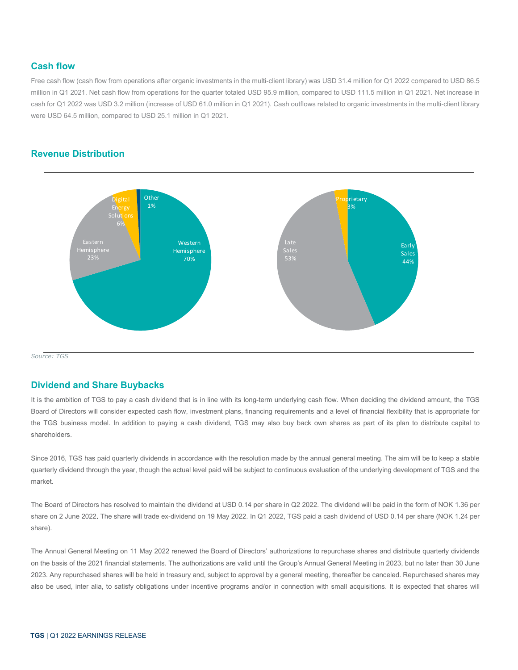## **Cash flow**

Free cash flow (cash flow from operations after organic investments in the multi-client library) was USD 31.4 million for Q1 2022 compared to USD 86.5 million in Q1 2021. Net cash flow from operations for the quarter totaled USD 95.9 million, compared to USD 111.5 million in Q1 2021. Net increase in cash for Q1 2022 was USD 3.2 million (increase of USD 61.0 million in Q1 2021). Cash outflows related to organic investments in the multi-client library were USD 64.5 million, compared to USD 25.1 million in Q1 2021.

# **Revenue Distribution**



*Source: TGS*

## **Dividend and Share Buybacks**

It is the ambition of TGS to pay a cash dividend that is in line with its long-term underlying cash flow. When deciding the dividend amount, the TGS Board of Directors will consider expected cash flow, investment plans, financing requirements and a level of financial flexibility that is appropriate for the TGS business model. In addition to paying a cash dividend, TGS may also buy back own shares as part of its plan to distribute capital to shareholders.

Since 2016, TGS has paid quarterly dividends in accordance with the resolution made by the annual general meeting. The aim will be to keep a stable quarterly dividend through the year, though the actual level paid will be subject to continuous evaluation of the underlying development of TGS and the market.

The Board of Directors has resolved to maintain the dividend at USD 0.14 per share in Q2 2022. The dividend will be paid in the form of NOK 1.36 per share on 2 June 2022. The share will trade ex-dividend on 19 May 2022. In Q1 2022, TGS paid a cash dividend of USD 0.14 per share (NOK 1.24 per share).

The Annual General Meeting on 11 May 2022 renewed the Board of Directors' authorizations to repurchase shares and distribute quarterly dividends on the basis of the 2021 financial statements. The authorizations are valid until the Group's Annual General Meeting in 2023, but no later than 30 June 2023. Any repurchased shares will be held in treasury and, subject to approval by a general meeting, thereafter be canceled. Repurchased shares may also be used, inter alia, to satisfy obligations under incentive programs and/or in connection with small acquisitions. It is expected that shares will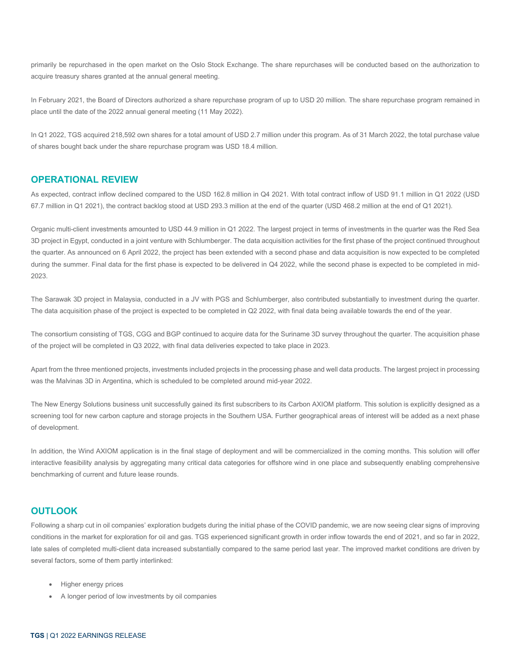primarily be repurchased in the open market on the Oslo Stock Exchange. The share repurchases will be conducted based on the authorization to acquire treasury shares granted at the annual general meeting.

In February 2021, the Board of Directors authorized a share repurchase program of up to USD 20 million. The share repurchase program remained in place until the date of the 2022 annual general meeting (11 May 2022).

In Q1 2022, TGS acquired 218,592 own shares for a total amount of USD 2.7 million under this program. As of 31 March 2022, the total purchase value of shares bought back under the share repurchase program was USD 18.4 million.

## **OPERATIONAL REVIEW**

As expected, contract inflow declined compared to the USD 162.8 million in Q4 2021. With total contract inflow of USD 91.1 million in Q1 2022 (USD 67.7 million in Q1 2021), the contract backlog stood at USD 293.3 million at the end of the quarter (USD 468.2 million at the end of Q1 2021).

Organic multi-client investments amounted to USD 44.9 million in Q1 2022. The largest project in terms of investments in the quarter was the Red Sea 3D project in Egypt, conducted in a joint venture with Schlumberger. The data acquisition activities for the first phase of the project continued throughout the quarter. As announced on 6 April 2022, the project has been extended with a second phase and data acquisition is now expected to be completed during the summer. Final data for the first phase is expected to be delivered in Q4 2022, while the second phase is expected to be completed in mid-2023.

The Sarawak 3D project in Malaysia, conducted in a JV with PGS and Schlumberger, also contributed substantially to investment during the quarter. The data acquisition phase of the project is expected to be completed in Q2 2022, with final data being available towards the end of the year.

The consortium consisting of TGS, CGG and BGP continued to acquire data for the Suriname 3D survey throughout the quarter. The acquisition phase of the project will be completed in Q3 2022, with final data deliveries expected to take place in 2023.

Apart from the three mentioned projects, investments included projects in the processing phase and well data products. The largest project in processing was the Malvinas 3D in Argentina, which is scheduled to be completed around mid-year 2022.

The New Energy Solutions business unit successfully gained its first subscribers to its Carbon AXIOM platform. This solution is explicitly designed as a screening tool for new carbon capture and storage projects in the Southern USA. Further geographical areas of interest will be added as a next phase of development.

In addition, the Wind AXIOM application is in the final stage of deployment and will be commercialized in the coming months. This solution will offer interactive feasibility analysis by aggregating many critical data categories for offshore wind in one place and subsequently enabling comprehensive benchmarking of current and future lease rounds.

## **OUTLOOK**

Following a sharp cut in oil companies' exploration budgets during the initial phase of the COVID pandemic, we are now seeing clear signs of improving conditions in the market for exploration for oil and gas. TGS experienced significant growth in order inflow towards the end of 2021, and so far in 2022, late sales of completed multi-client data increased substantially compared to the same period last year. The improved market conditions are driven by several factors, some of them partly interlinked:

- Higher energy prices
- A longer period of low investments by oil companies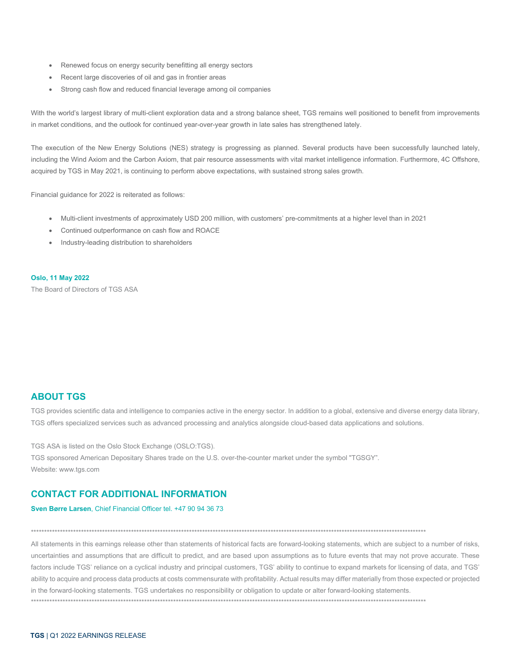- Renewed focus on energy security benefitting all energy sectors
- Recent large discoveries of oil and gas in frontier areas
- Strong cash flow and reduced financial leverage among oil companies

With the world's largest library of multi-client exploration data and a strong balance sheet, TGS remains well positioned to benefit from improvements in market conditions, and the outlook for continued year-over-year growth in late sales has strengthened lately.

The execution of the New Energy Solutions (NES) strategy is progressing as planned. Several products have been successfully launched lately, including the Wind Axiom and the Carbon Axiom, that pair resource assessments with vital market intelligence information. Furthermore, 4C Offshore, acquired by TGS in May 2021, is continuing to perform above expectations, with sustained strong sales growth.

Financial guidance for 2022 is reiterated as follows:

- Multi-client investments of approximately USD 200 million, with customers' pre-commitments at a higher level than in 2021
- Continued outperformance on cash flow and ROACE
- Industry-leading distribution to shareholders

**Oslo, 11 May 2022**

The Board of Directors of TGS ASA

# **ABOUT TGS**

TGS provides scientific data and intelligence to companies active in the energy sector. In addition to a global, extensive and diverse energy data library, TGS offers specialized services such as advanced processing and analytics alongside cloud-based data applications and solutions.

TGS ASA is listed on the Oslo Stock Exchange (OSLO:TGS).

TGS sponsored American Depositary Shares trade on the U.S. over-the-counter market under the symbol "TGSGY". Website: www.tgs.com

## **CONTACT FOR ADDITIONAL INFORMATION**

## **Sven Børre Larsen**, Chief Financial Officer tel. +47 90 94 36 73

\*\*\*\*\*\*\*\*\*\*\*\*\*\*\*\*\*\*\*\*\*\*\*\*\*\*\*\*\*\*\*\*\*\*\*\*\*\*\*\*\*\*\*\*\*\*\*\*\*\*\*\*\*\*\*\*\*\*\*\*\*\*\*\*\*\*\*\*\*\*\*\*\*\*\*\*\*\*\*\*\*\*\*\*\*\*\*\*\*\*\*\*\*\*\*\*\*\*\*\*\*\*\*\*\*\*\*\*\*\*\*\*\*\*\*\*\*\*\*\*\*\*\*\*\*\*\*\*\*\*\*\*\*\*\*\*\*\*\*\*\*\*\*\*\*\*\*\*\*\*

All statements in this earnings release other than statements of historical facts are forward-looking statements, which are subject to a number of risks, uncertainties and assumptions that are difficult to predict, and are based upon assumptions as to future events that may not prove accurate. These factors include TGS' reliance on a cyclical industry and principal customers, TGS' ability to continue to expand markets for licensing of data, and TGS' ability to acquire and process data products at costs commensurate with profitability. Actual results may differ materially from those expected or projected in the forward-looking statements. TGS undertakes no responsibility or obligation to update or alter forward-looking statements. \*\*\*\*\*\*\*\*\*\*\*\*\*\*\*\*\*\*\*\*\*\*\*\*\*\*\*\*\*\*\*\*\*\*\*\*\*\*\*\*\*\*\*\*\*\*\*\*\*\*\*\*\*\*\*\*\*\*\*\*\*\*\*\*\*\*\*\*\*\*\*\*\*\*\*\*\*\*\*\*\*\*\*\*\*\*\*\*\*\*\*\*\*\*\*\*\*\*\*\*\*\*\*\*\*\*\*\*\*\*\*\*\*\*\*\*\*\*\*\*\*\*\*\*\*\*\*\*\*\*\*\*\*\*\*\*\*\*\*\*\*\*\*\*\*\*\*\*\*\*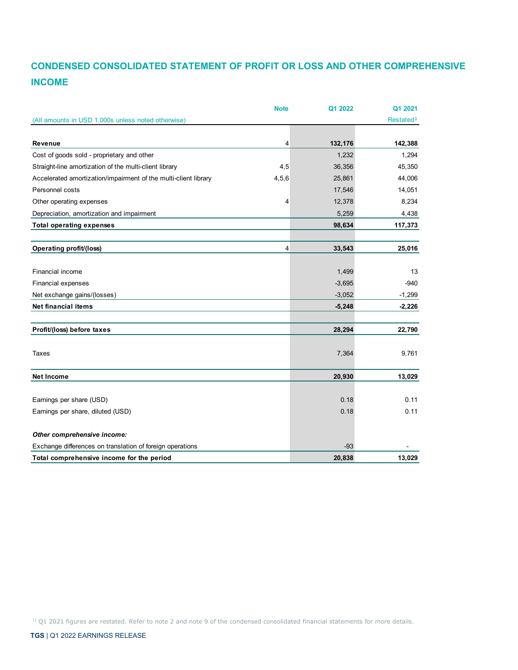# **CONDENSED CONSOLIDATED STATEMENT OF PROFIT OR LOSS AND OTHER COMPREHENSIVE INCOME**

|                                                                 | <b>Note</b> | Q1 2022  | Q1 2021               |
|-----------------------------------------------------------------|-------------|----------|-----------------------|
| (All amounts in USD 1,000s unless noted otherwise)              |             |          | Restated <sup>1</sup> |
|                                                                 |             |          |                       |
| <b>Revenue</b>                                                  | 4           | 132,176  | 142,388               |
| Cost of goods sold - proprietary and other                      |             | 1,232    | 1,294                 |
| Straight-line amortization of the multi-client library          | 4,5         | 36,356   | 45,350                |
| Accelerated amortization/impairment of the multi-client library | 4,5,6       | 25,861   | 44,006                |
| Personnel costs                                                 |             | 17,546   | 14,051                |
| Other operating expenses                                        | 4           | 12,378   | 8,234                 |
| Depreciation, amortization and impairment                       |             | 5,259    | 4,438                 |
| <b>Total operating expenses</b>                                 |             | 98,634   | 117,373               |
| Operating profit/(loss)                                         | 4           | 33,543   | 25,016                |
|                                                                 |             |          |                       |
| <b>Financial income</b>                                         |             | 1,499    | 13                    |
| Financial expenses                                              |             | $-3,695$ | $-940$                |
| Net exchange gains/(losses)                                     |             | $-3,052$ | $-1,299$              |
| <b>Net financial items</b>                                      |             | $-5,248$ | $-2,226$              |
| Profit/(loss) before taxes                                      |             | 28,294   | 22,790                |
| Taxes                                                           |             | 7,364    | 9,761                 |
| <b>Net Income</b>                                               |             | 20,930   | 13,029                |
| Earnings per share (USD)                                        |             | 0.18     | 0.11                  |
|                                                                 |             |          |                       |
| Earnings per share, diluted (USD)                               |             | 0.18     | 0.11                  |
| Other comprehensive income:                                     |             |          |                       |
| Exchange differences on translation of foreign operations       |             | $-93$    |                       |
| Total comprehensive income for the period                       |             | 20,838   | 13,029                |

<sup>1)</sup> Q1 2021 figures are restated. Refer to note 2 and note 9 of the condensed consolidated financial statements for more details.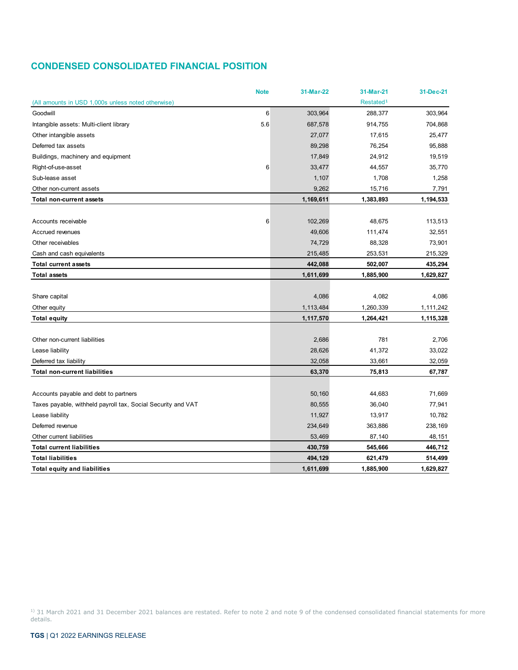# **CONDENSED CONSOLIDATED FINANCIAL POSITION**

|                                                              | <b>Note</b> | 31-Mar-22 | 31-Mar-21             | 31-Dec-21 |
|--------------------------------------------------------------|-------------|-----------|-----------------------|-----------|
| (All amounts in USD 1,000s unless noted otherwise)           |             |           | Restated <sup>1</sup> |           |
| Goodwill                                                     | 6           | 303,964   | 288,377               | 303,964   |
| Intangible assets: Multi-client library                      | 5.6         | 687,578   | 914,755               | 704,868   |
| Other intangible assets                                      |             | 27,077    | 17,615                | 25,477    |
| Deferred tax assets                                          |             | 89,298    | 76,254                | 95,888    |
| Buildings, machinery and equipment                           |             | 17,849    | 24,912                | 19,519    |
| Right-of-use-asset                                           | 6           | 33,477    | 44,557                | 35,770    |
| Sub-lease asset                                              |             | 1,107     | 1,708                 | 1,258     |
| Other non-current assets                                     |             | 9,262     | 15,716                | 7,791     |
| <b>Total non-current assets</b>                              |             | 1,169,611 | 1,383,893             | 1,194,533 |
|                                                              |             |           |                       |           |
| Accounts receivable                                          | 6           | 102,269   | 48,675                | 113,513   |
| Accrued revenues                                             |             | 49,606    | 111,474               | 32,551    |
| Other receivables                                            |             | 74,729    | 88,328                | 73,901    |
| Cash and cash equivalents                                    |             | 215,485   | 253,531               | 215,329   |
| <b>Total current assets</b>                                  |             | 442,088   | 502,007               | 435,294   |
| <b>Total assets</b>                                          |             | 1,611,699 | 1,885,900             | 1,629,827 |
|                                                              |             |           |                       |           |
| Share capital                                                |             | 4,086     | 4,082                 | 4,086     |
| Other equity                                                 |             | 1,113,484 | 1,260,339             | 1,111,242 |
| <b>Total equity</b>                                          |             | 1,117,570 | 1,264,421             | 1,115,328 |
|                                                              |             |           |                       |           |
| Other non-current liabilities                                |             | 2,686     | 781                   | 2,706     |
| Lease liability                                              |             | 28,626    | 41,372                | 33,022    |
| Deferred tax liability                                       |             | 32,058    | 33,661                | 32,059    |
| <b>Total non-current liabilities</b>                         |             | 63,370    | 75,813                | 67,787    |
|                                                              |             |           |                       |           |
| Accounts payable and debt to partners                        |             | 50,160    | 44,683                | 71,669    |
| Taxes payable, withheld payroll tax, Social Security and VAT |             | 80,555    | 36,040                | 77,941    |
| Lease liability                                              |             | 11,927    | 13,917                | 10,782    |
| Deferred revenue                                             |             | 234,649   | 363,886               | 238,169   |
| Other current liabilities                                    |             | 53,469    | 87,140                | 48,151    |
| <b>Total current liabilities</b>                             |             | 430,759   | 545,666               | 446,712   |
| <b>Total liabilities</b>                                     |             | 494,129   | 621,479               | 514,499   |
| <b>Total equity and liabilities</b>                          |             | 1.611.699 | 1,885,900             | 1,629,827 |

<sup>1)</sup> 31 March 2021 and 31 December 2021 balances are restated. Refer to note 2 and note 9 of the condensed consolidated financial statements for more details.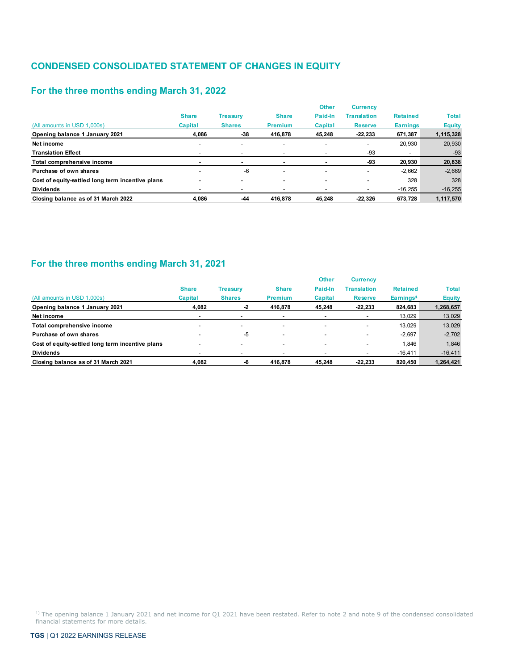# **CONDENSED CONSOLIDATED STATEMENT OF CHANGES IN EQUITY**

# **For the three months ending March 31, 2022**

|                                                  |                          |                          |                          | <b>Other</b>             | <b>Currency</b>          |                          |               |
|--------------------------------------------------|--------------------------|--------------------------|--------------------------|--------------------------|--------------------------|--------------------------|---------------|
|                                                  | <b>Share</b>             | <b>Treasury</b>          | <b>Share</b>             | Paid-In                  | <b>Translation</b>       | <b>Retained</b>          | <b>Total</b>  |
| (All amounts in USD 1.000s)                      | <b>Capital</b>           | <b>Shares</b>            | <b>Premium</b>           | <b>Capital</b>           | <b>Reserve</b>           | <b>Earnings</b>          | <b>Equity</b> |
| Opening balance 1 January 2021                   | 4.086                    | -38                      | 416.878                  | 45.248                   | $-22,233$                | 671,387                  | 1,115,328     |
| Net income                                       | $\overline{\phantom{a}}$ | $\overline{\phantom{0}}$ | $\overline{\phantom{a}}$ | $\overline{\phantom{0}}$ | $\overline{\phantom{a}}$ | 20,930                   | 20,930        |
| <b>Translation Effect</b>                        |                          |                          |                          |                          | -93                      | $\overline{\phantom{a}}$ | $-93$         |
| Total comprehensive income                       | -                        | ۰                        |                          |                          | -93                      | 20,930                   | 20,838        |
| Purchase of own shares                           |                          | $-6$                     |                          |                          | $\overline{\phantom{a}}$ | $-2,662$                 | $-2,669$      |
| Cost of equity-settled long term incentive plans |                          | -                        |                          |                          | $\overline{\phantom{a}}$ | 328                      | 328           |
| <b>Dividends</b>                                 |                          | -                        |                          |                          | $\overline{\phantom{a}}$ | $-16,255$                | $-16,255$     |
| Closing balance as of 31 March 2022              | 4.086                    | $-44$                    | 416.878                  | 45.248                   | $-22.326$                | 673.728                  | 1,117,570     |

# **For the three months ending March 31, 2021**

|                                                  |                          |                          |                          | <b>Other</b>             | <b>Currency</b>          |                       |               |
|--------------------------------------------------|--------------------------|--------------------------|--------------------------|--------------------------|--------------------------|-----------------------|---------------|
|                                                  | <b>Share</b>             | <b>Treasury</b>          | <b>Share</b>             | Paid-In                  | <b>Translation</b>       | <b>Retained</b>       | <b>Total</b>  |
| (All amounts in USD 1,000s)                      | Capital                  | <b>Shares</b>            | <b>Premium</b>           | Capital                  | <b>Reserve</b>           | Earnings <sup>1</sup> | <b>Equity</b> |
| Opening balance 1 January 2021                   | 4.082                    | -2                       | 416.878                  | 45.248                   | $-22,233$                | 824,683               | 1,268,657     |
| Net income                                       |                          |                          |                          |                          | $\blacksquare$           | 13,029                | 13,029        |
| Total comprehensive income                       | $\overline{\phantom{0}}$ | $\overline{\phantom{a}}$ | $\overline{\phantom{0}}$ | $\overline{\phantom{a}}$ | $\blacksquare$           | 13.029                | 13,029        |
| Purchase of own shares                           |                          | -5                       | $\overline{\phantom{0}}$ |                          | $\blacksquare$           | $-2.697$              | $-2,702$      |
| Cost of equity-settled long term incentive plans |                          | $\overline{\phantom{a}}$ | -                        |                          | $\overline{\phantom{a}}$ | 1.846                 | 1,846         |
| <b>Dividends</b>                                 |                          |                          |                          |                          |                          | $-16,411$             | $-16,411$     |
| Closing balance as of 31 March 2021              | 4.082                    |                          | 416,878                  | 45.248                   | $-22,233$                | 820,450               | 1,264,421     |

<sup>1)</sup> The opening balance 1 January 2021 and net income for Q1 2021 have been restated. Refer to note 2 and note 9 of the condensed consolidated financial statements for more details.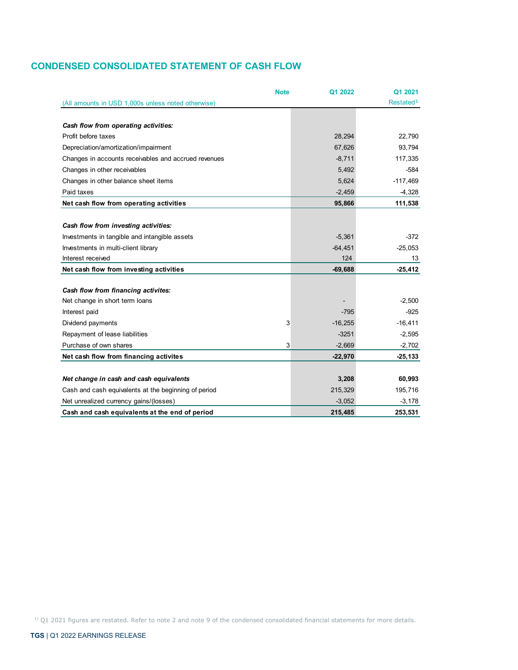# **CONDENSED CONSOLIDATED STATEMENT OF CASH FLOW**

|                                                      | <b>Note</b> | Q1 2022   | Q1 2021               |
|------------------------------------------------------|-------------|-----------|-----------------------|
| (All amounts in USD 1,000s unless noted otherwise)   |             |           | Restated <sup>1</sup> |
|                                                      |             |           |                       |
| Cash flow from operating activities:                 |             |           |                       |
| Profit before taxes                                  |             | 28,294    | 22,790                |
| Depreciation/amortization/impairment                 |             | 67,626    | 93,794                |
| Changes in accounts receivables and accrued revenues |             | $-8,711$  | 117,335               |
| Changes in other receivables                         |             | 5,492     | $-584$                |
| Changes in other balance sheet items                 |             | 5,624     | $-117,469$            |
| Paid taxes                                           |             | $-2.459$  | $-4,328$              |
| Net cash flow from operating activities              |             | 95,866    | 111,538               |
|                                                      |             |           |                       |
| Cash flow from investing activities:                 |             |           |                       |
| Investments in tangible and intangible assets        |             | $-5,361$  | $-372$                |
| Investments in multi-client library                  |             | $-64,451$ | $-25,053$             |
| Interest received                                    |             | 124       | 13                    |
| Net cash flow from investing activities              |             | $-69,688$ | $-25,412$             |
|                                                      |             |           |                       |
| Cash flow from financing activites:                  |             |           |                       |
| Net change in short term loans                       |             |           | $-2,500$              |
| Interest paid                                        |             | $-795$    | $-925$                |
| Dividend payments                                    | 3           | $-16,255$ | $-16,411$             |
| Repayment of lease liabilities                       |             | $-3251$   | $-2,595$              |
| Purchase of own shares                               | 3           | $-2,669$  | $-2,702$              |
| Net cash flow from financing activites               |             | $-22,970$ | $-25, 133$            |
|                                                      |             |           |                       |
| Net change in cash and cash equivalents              |             | 3,208     | 60,993                |
| Cash and cash equivalents at the beginning of period |             | 215,329   | 195,716               |
| Net unrealized currency gains/(losses)               |             | $-3,052$  | $-3,178$              |
| Cash and cash equivalents at the end of period       |             | 215,485   | 253,531               |

1) Q1 2021 figures are restated. Refer to note 2 and note 9 of the condensed consolidated financial statements for more details.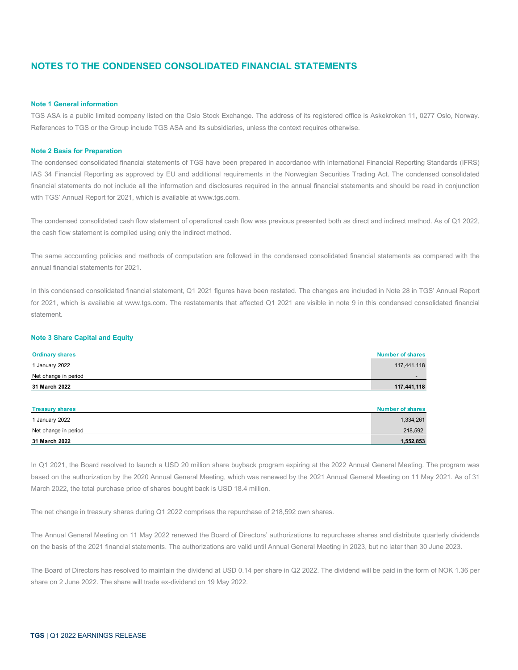# **NOTES TO THE CONDENSED CONSOLIDATED FINANCIAL STATEMENTS**

## **Note 1 General information**

TGS ASA is a public limited company listed on the Oslo Stock Exchange. The address of its registered office is Askekroken 11, 0277 Oslo, Norway. References to TGS or the Group include TGS ASA and its subsidiaries, unless the context requires otherwise.

#### **Note 2 Basis for Preparation**

The condensed consolidated financial statements of TGS have been prepared in accordance with International Financial Reporting Standards (IFRS) IAS 34 Financial Reporting as approved by EU and additional requirements in the Norwegian Securities Trading Act. The condensed consolidated financial statements do not include all the information and disclosures required in the annual financial statements and should be read in conjunction with TGS' Annual Report for 2021, which is available at www.tgs.com.

The condensed consolidated cash flow statement of operational cash flow was previous presented both as direct and indirect method. As of Q1 2022, the cash flow statement is compiled using only the indirect method.

The same accounting policies and methods of computation are followed in the condensed consolidated financial statements as compared with the annual financial statements for 2021.

In this condensed consolidated financial statement, Q1 2021 figures have been restated. The changes are included in Note 28 in TGS' Annual Report for 2021, which is available at www.tgs.com. The restatements that affected Q1 2021 are visible in note 9 in this condensed consolidated financial statement.

### **Note 3 Share Capital and Equity**

| <b>Ordinary shares</b> | <b>Number of shares</b> |
|------------------------|-------------------------|
| 1 January 2022         | 117,441,118             |
| Net change in period   |                         |
| 31 March 2022          | 117,441,118             |
|                        |                         |
| <b>Treasury shares</b> | <b>Number of shares</b> |
| 1 January 2022         | 1,334,261               |
| Net change in period   | 218,592                 |
| 31 March 2022          | 1,552,853               |

In Q1 2021, the Board resolved to launch a USD 20 million share buyback program expiring at the 2022 Annual General Meeting. The program was based on the authorization by the 2020 Annual General Meeting, which was renewed by the 2021 Annual General Meeting on 11 May 2021. As of 31 March 2022, the total purchase price of shares bought back is USD 18.4 million.

The net change in treasury shares during Q1 2022 comprises the repurchase of 218,592 own shares.

The Annual General Meeting on 11 May 2022 renewed the Board of Directors' authorizations to repurchase shares and distribute quarterly dividends on the basis of the 2021 financial statements. The authorizations are valid until Annual General Meeting in 2023, but no later than 30 June 2023.

The Board of Directors has resolved to maintain the dividend at USD 0.14 per share in Q2 2022. The dividend will be paid in the form of NOK 1.36 per share on 2 June 2022. The share will trade ex-dividend on 19 May 2022.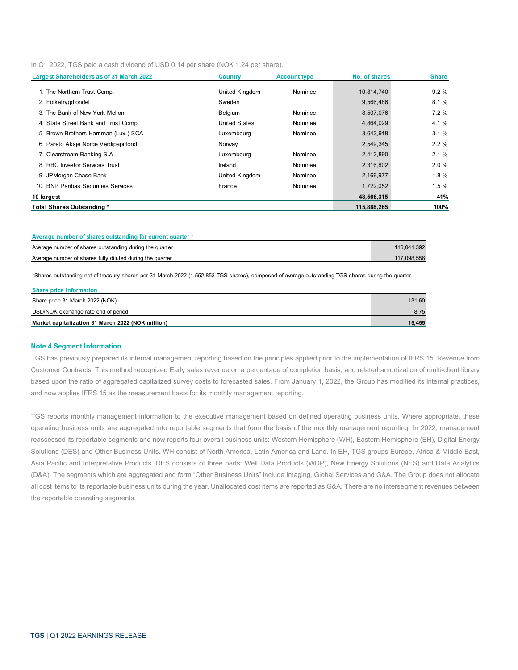In Q1 2022, TGS paid a cash dividend of USD 0.14 per share (NOK 1.24 per share).

| Largest Shareholders as of 31 March 2022 | <b>Country</b>       | <b>Account type</b> | No. of shares | <b>Share</b> |
|------------------------------------------|----------------------|---------------------|---------------|--------------|
| 1. The Northern Trust Comp.              | United Kingdom       | Nominee             | 10,814,740    | 9.2%         |
| 2. Folketrygdfondet                      | Sweden               |                     | 9,566,486     | 8.1%         |
| 3. The Bank of New York Mellon           | Belgium              | Nominee             | 8,507,076     | 7.2%         |
| 4. State Street Bank and Trust Comp.     | <b>United States</b> | Nominee             | 4,864,029     | 4.1 %        |
| 5. Brown Brothers Harriman (Lux.) SCA    | Luxembourg           | Nominee             | 3,642,918     | 3.1%         |
| 6. Pareto Aksje Norge Verdipapirfond     | Norway               |                     | 2,549,345     | 2.2%         |
| 7. Clearstream Banking S.A.              | Luxembourg           | Nominee             | 2,412,890     | 2.1%         |
| 8. RBC Investor Services Trust           | Ireland              | Nominee             | 2,316,802     | 2.0%         |
| 9. JPMorgan Chase Bank                   | United Kingdom       | Nominee             | 2,169,977     | 1.8%         |
| 10. BNP Paribas Securities Services      | France               | Nominee             | 1,722,052     | 1.5%         |
| 10 largest                               |                      |                     | 48,566,315    | 41%          |
| Total Shares Outstanding *               |                      |                     | 115,888,265   | 100%         |

| Average number of shares outstanding for current quarter * |             |
|------------------------------------------------------------|-------------|
| Average number of shares outstanding during the quarter    | 116,041,392 |
| Average number of shares fully diluted during the quarter  | 117.098.556 |

\*Shares outstanding net of treasury shares per 31 March 2022 (1,552,853 TGS shares), composed of average outstanding TGS shares during the quarter.

| Market capitalization 31 March 2022 (NOK million) | 15.455 |
|---------------------------------------------------|--------|
|                                                   |        |
| USD/NOK exchange rate end of period               | 8.75   |
| Share price 31 March 2022 (NOK)                   | 131.60 |
| Share price information                           |        |

#### **Note 4 Segment Information**

TGS has previously prepared its internal management reporting based on the principles applied prior to the implementation of IFRS 15, Revenue from Customer Contracts. This method recognized Early sales revenue on a percentage of completion basis, and related amortization of multi-client library based upon the ratio of aggregated capitalized survey costs to forecasted sales. From January 1, 2022, the Group has modified its internal practices, and now applies IFRS 15 as the measurement basis for its monthly management reporting.

TGS reports monthly management information to the executive management based on defined operating business units. Where appropriate, these operating business units are aggregated into reportable segments that form the basis of the monthly management reporting. In 2022, management reassessed its reportable segments and now reports four overall business units: Western Hemisphere (WH), Eastern Hemisphere (EH), Digital Energy Solutions (DES) and Other Business Units. WH consist of North America, Latin America and Land. In EH, TGS groups Europe, Africa & Middle East, Asia Pacific and Interpretative Products. DES consists of three parts: Well Data Products (WDP), New Energy Solutions (NES) and Data Analytics (D&A). The segments which are aggregated and form "Other Business Units" include Imaging, Global Services and G&A. The Group does not allocate all cost items to its reportable business units during the year. Unallocated cost items are reported as G&A. There are no intersegment revenues between the reportable operating segments.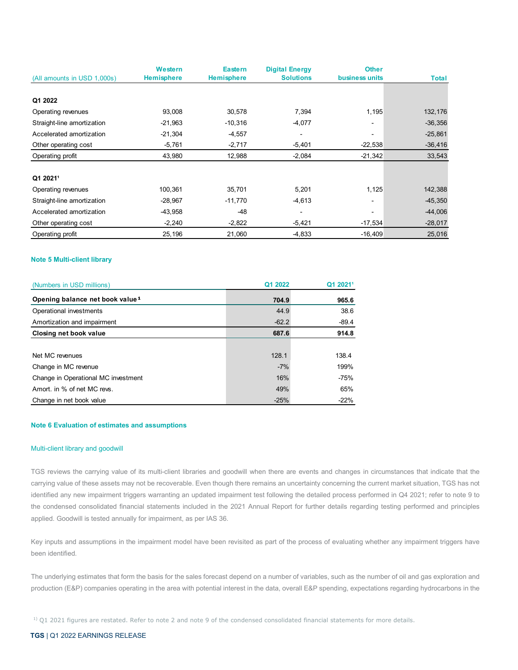|                             | Western           | <b>Eastern</b>    | <b>Digital Energy</b> | <b>Other</b>             |              |
|-----------------------------|-------------------|-------------------|-----------------------|--------------------------|--------------|
| (All amounts in USD 1,000s) | <b>Hemisphere</b> | <b>Hemisphere</b> | <b>Solutions</b>      | business units           | <b>Total</b> |
|                             |                   |                   |                       |                          |              |
| Q1 2022                     |                   |                   |                       |                          |              |
| Operating revenues          | 93,008            | 30,578            | 7,394                 | 1,195                    | 132,176      |
| Straight-line amortization  | $-21,963$         | $-10,316$         | $-4,077$              |                          | $-36,356$    |
| Accelerated amortization    | $-21,304$         | $-4,557$          | $\blacksquare$        | $\overline{\phantom{a}}$ | $-25,861$    |
| Other operating cost        | $-5,761$          | $-2,717$          | $-5,401$              | $-22,538$                | $-36,416$    |
| Operating profit            | 43,980            | 12,988            | $-2,084$              | $-21,342$                | 33,543       |
|                             |                   |                   |                       |                          |              |
| Q1 20211                    |                   |                   |                       |                          |              |
| Operating revenues          | 100,361           | 35,701            | 5,201                 | 1,125                    | 142,388      |
| Straight-line amortization  | $-28,967$         | $-11,770$         | $-4,613$              | $\overline{\phantom{0}}$ | $-45,350$    |
| Accelerated amortization    | -43,958           | -48               | $\blacksquare$        |                          | $-44,006$    |
| Other operating cost        | $-2,240$          | $-2,822$          | $-5,421$              | $-17,534$                | $-28,017$    |
| Operating profit            | 25,196            | 21,060            | $-4,833$              | $-16,409$                | 25,016       |

## **Note 5 Multi-client library**

| (Numbers in USD millions)                   | Q1 2022 | Q1 2021 <sup>1</sup> |
|---------------------------------------------|---------|----------------------|
| Opening balance net book value <sup>1</sup> | 704.9   | 965.6                |
| Operational investments                     | 44.9    | 38.6                 |
| Amortization and impairment                 | $-62.2$ | $-89.4$              |
| Closing net book value                      | 687.6   | 914.8                |
|                                             |         |                      |
| Net MC revenues                             | 128.1   | 138.4                |
| Change in MC revenue                        | $-7%$   | 199%                 |
| Change in Operational MC investment         | 16%     | -75%                 |
| Amort. in % of net MC revs.                 | 49%     | 65%                  |
| Change in net book value                    | $-25%$  | $-22%$               |

## **Note 6 Evaluation of estimates and assumptions**

#### Multi-client library and goodwill

TGS reviews the carrying value of its multi-client libraries and goodwill when there are events and changes in circumstances that indicate that the carrying value of these assets may not be recoverable. Even though there remains an uncertainty concerning the current market situation, TGS has not identified any new impairment triggers warranting an updated impairment test following the detailed process performed in Q4 2021; refer to note 9 to the condensed consolidated financial statements included in the 2021 Annual Report for further details regarding testing performed and principles applied. Goodwill is tested annually for impairment, as per IAS 36.

Key inputs and assumptions in the impairment model have been revisited as part of the process of evaluating whether any impairment triggers have been identified.

The underlying estimates that form the basis for the sales forecast depend on a number of variables, such as the number of oil and gas exploration and production (E&P) companies operating in the area with potential interest in the data, overall E&P spending, expectations regarding hydrocarbons in the

 $1)$  Q1 2021 figures are restated. Refer to note 2 and note 9 of the condensed consolidated financial statements for more details.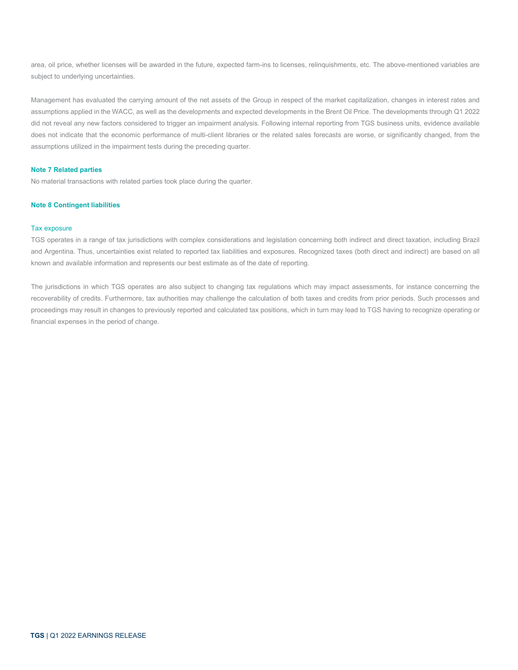area, oil price, whether licenses will be awarded in the future, expected farm-ins to licenses, relinquishments, etc. The above-mentioned variables are subject to underlying uncertainties.

Management has evaluated the carrying amount of the net assets of the Group in respect of the market capitalization, changes in interest rates and assumptions applied in the WACC, as well as the developments and expected developments in the Brent Oil Price. The developments through Q1 2022 did not reveal any new factors considered to trigger an impairment analysis. Following internal reporting from TGS business units, evidence available does not indicate that the economic performance of multi-client libraries or the related sales forecasts are worse, or significantly changed, from the assumptions utilized in the impairment tests during the preceding quarter.

## **Note 7 Related parties**

No material transactions with related parties took place during the quarter.

## **Note 8 Contingent liabilities**

#### Tax exposure

TGS operates in a range of tax jurisdictions with complex considerations and legislation concerning both indirect and direct taxation, including Brazil and Argentina. Thus, uncertainties exist related to reported tax liabilities and exposures. Recognized taxes (both direct and indirect) are based on all known and available information and represents our best estimate as of the date of reporting.

The jurisdictions in which TGS operates are also subject to changing tax regulations which may impact assessments, for instance concerning the recoverability of credits. Furthermore, tax authorities may challenge the calculation of both taxes and credits from prior periods. Such processes and proceedings may result in changes to previously reported and calculated tax positions, which in turn may lead to TGS having to recognize operating or financial expenses in the period of change.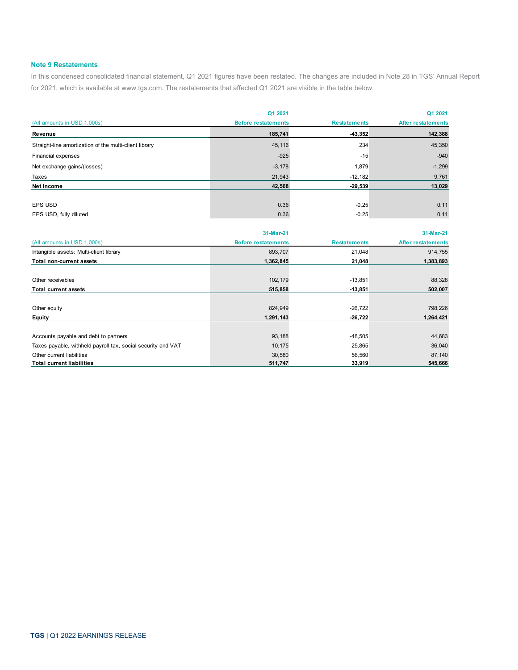## **Note 9 Restatements**

In this condensed consolidated financial statement, Q1 2021 figures have been restated. The changes are included in Note 28 in TGS' Annual Report for 2021, which is available at www.tgs.com. The restatements that affected Q1 2021 are visible in the table below.

|                                                        | Q1 2021                    |                     | Q1 2021                   |
|--------------------------------------------------------|----------------------------|---------------------|---------------------------|
| (All amounts in USD 1,000s)                            | <b>Before restatements</b> | <b>Restatements</b> | <b>After restatements</b> |
| Revenue                                                | 185,741                    | $-43,352$           | 142,388                   |
| Straight-line amortization of the multi-client library | 45,116                     | 234                 | 45,350                    |
| Financial expenses                                     | $-925$                     | $-15$               | $-940$                    |
| Net exchange gains/(losses)                            | $-3,178$                   | 1,879               | $-1,299$                  |
| Taxes                                                  | 21,943                     | $-12,182$           | 9,761                     |
| <b>Net Income</b>                                      | 42,568                     | $-29,539$           | 13,029                    |
|                                                        |                            |                     |                           |
| <b>EPS USD</b>                                         | 0.36                       | $-0.25$             | 0.11                      |
| EPS USD, fully diluted                                 | 0.36                       | $-0.25$             | 0.11                      |

|                                                              | 31-Mar-21                  |                     | 31-Mar-21                 |
|--------------------------------------------------------------|----------------------------|---------------------|---------------------------|
| (All amounts in USD 1,000s)                                  | <b>Before restatements</b> | <b>Restatements</b> | <b>After restatements</b> |
| Intangible assets: Multi-client library                      | 893,707                    | 21,048              | 914,755                   |
| <b>Total non-current assets</b>                              | 1,362,845                  | 21,048              | 1,383,893                 |
|                                                              |                            |                     |                           |
| Other receivables                                            | 102,179                    | $-13,851$           | 88,328                    |
| <b>Total current assets</b>                                  | 515,858                    | $-13,851$           | 502,007                   |
|                                                              |                            |                     |                           |
| Other equity                                                 | 824,949                    | $-26,722$           | 798,226                   |
| Equity                                                       | 1,291,143                  | $-26,722$           | 1,264,421                 |
|                                                              |                            |                     |                           |
| Accounts payable and debt to partners                        | 93,188                     | $-48,505$           | 44,683                    |
| Taxes payable, withheld payroll tax, social security and VAT | 10,175                     | 25,865              | 36,040                    |
| Other current liabilities                                    | 30,580                     | 56,560              | 87,140                    |
| <b>Total current liabilities</b>                             | 511,747                    | 33,919              | 545,666                   |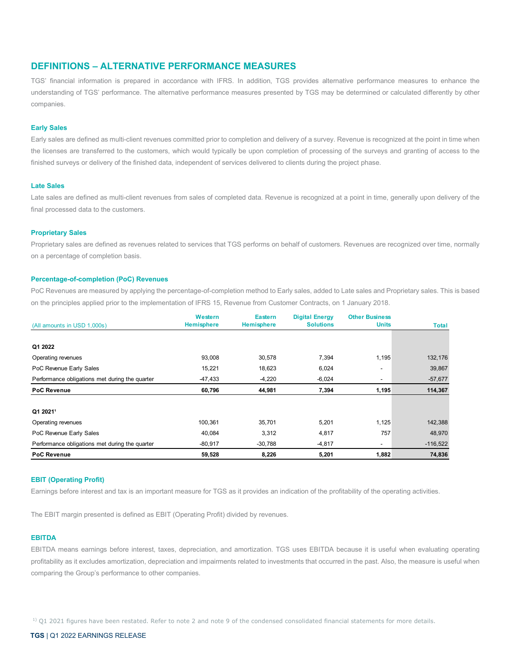# **DEFINITIONS – ALTERNATIVE PERFORMANCE MEASURES**

TGS' financial information is prepared in accordance with IFRS. In addition, TGS provides alternative performance measures to enhance the understanding of TGS' performance. The alternative performance measures presented by TGS may be determined or calculated differently by other companies.

#### **Early Sales**

Early sales are defined as multi-client revenues committed prior to completion and delivery of a survey. Revenue is recognized at the point in time when the licenses are transferred to the customers, which would typically be upon completion of processing of the surveys and granting of access to the finished surveys or delivery of the finished data, independent of services delivered to clients during the project phase.

#### **Late Sales**

Late sales are defined as multi-client revenues from sales of completed data. Revenue is recognized at a point in time, generally upon delivery of the final processed data to the customers.

## **Proprietary Sales**

Proprietary sales are defined as revenues related to services that TGS performs on behalf of customers. Revenues are recognized over time, normally on a percentage of completion basis.

### **Percentage-of-completion (PoC) Revenues**

PoC Revenues are measured by applying the percentage-of-completion method to Early sales, added to Late sales and Proprietary sales. This is based on the principles applied prior to the implementation of IFRS 15, Revenue from Customer Contracts, on 1 January 2018.

|                                                | Western           | <b>Eastern</b>    | <b>Digital Energy</b> | <b>Other Business</b>    |            |
|------------------------------------------------|-------------------|-------------------|-----------------------|--------------------------|------------|
| (All amounts in USD 1,000s)                    | <b>Hemisphere</b> | <b>Hemisphere</b> | <b>Solutions</b>      | <b>Units</b>             | Total      |
|                                                |                   |                   |                       |                          |            |
| Q1 2022                                        |                   |                   |                       |                          |            |
| Operating revenues                             | 93,008            | 30,578            | 7,394                 | 1,195                    | 132,176    |
| PoC Revenue Early Sales                        | 15,221            | 18,623            | 6,024                 | -                        | 39,867     |
| Performance obligations met during the quarter | -47,433           | $-4,220$          | $-6,024$              | $\overline{\phantom{a}}$ | $-57,677$  |
| <b>PoC Revenue</b>                             | 60,796            | 44,981            | 7,394                 | 1,195                    | 114,367    |
|                                                |                   |                   |                       |                          |            |
| Q1 2021 <sup>1</sup>                           |                   |                   |                       |                          |            |
| Operating revenues                             | 100,361           | 35,701            | 5,201                 | 1,125                    | 142,388    |
| PoC Revenue Early Sales                        | 40,084            | 3,312             | 4,817                 | 757                      | 48,970     |
| Performance obligations met during the quarter | $-80,917$         | $-30,788$         | $-4,817$              | $\overline{\phantom{a}}$ | $-116,522$ |
| <b>PoC Revenue</b>                             | 59,528            | 8,226             | 5,201                 | 1,882                    | 74,836     |

#### **EBIT (Operating Profit)**

Earnings before interest and tax is an important measure for TGS as it provides an indication of the profitability of the operating activities.

The EBIT margin presented is defined as EBIT (Operating Profit) divided by revenues.

#### **EBITDA**

EBITDA means earnings before interest, taxes, depreciation, and amortization. TGS uses EBITDA because it is useful when evaluating operating profitability as it excludes amortization, depreciation and impairments related to investments that occurred in the past. Also, the measure is useful when comparing the Group's performance to other companies.

 $1)$  Q1 2021 figures have been restated. Refer to note 2 and note 9 of the condensed consolidated financial statements for more details.